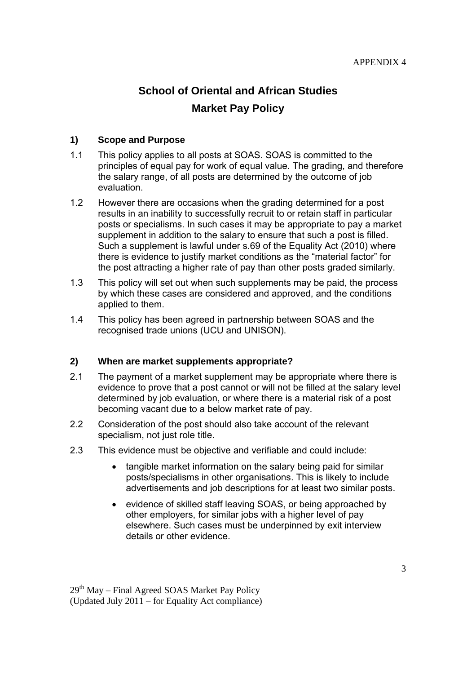# **School of Oriental and African Studies Market Pay Policy**

### **1) Scope and Purpose**

- 1.1 This policy applies to all posts at SOAS. SOAS is committed to the principles of equal pay for work of equal value. The grading, and therefore the salary range, of all posts are determined by the outcome of job evaluation.
- 1.2 However there are occasions when the grading determined for a post results in an inability to successfully recruit to or retain staff in particular posts or specialisms. In such cases it may be appropriate to pay a market supplement in addition to the salary to ensure that such a post is filled. Such a supplement is lawful under s.69 of the Equality Act (2010) where there is evidence to justify market conditions as the "material factor" for the post attracting a higher rate of pay than other posts graded similarly.
- 1.3 This policy will set out when such supplements may be paid, the process by which these cases are considered and approved, and the conditions applied to them.
- 1.4 This policy has been agreed in partnership between SOAS and the recognised trade unions (UCU and UNISON).

### **2) When are market supplements appropriate?**

- 2.1 The payment of a market supplement may be appropriate where there is evidence to prove that a post cannot or will not be filled at the salary level determined by job evaluation, or where there is a material risk of a post becoming vacant due to a below market rate of pay.
- 2.2 Consideration of the post should also take account of the relevant specialism, not just role title.
- 2.3 This evidence must be objective and verifiable and could include:
	- tangible market information on the salary being paid for similar posts/specialisms in other organisations. This is likely to include advertisements and job descriptions for at least two similar posts.
	- evidence of skilled staff leaving SOAS, or being approached by other employers, for similar jobs with a higher level of pay elsewhere. Such cases must be underpinned by exit interview details or other evidence.

 $29<sup>th</sup>$  May – Final Agreed SOAS Market Pay Policy (Updated July 2011 – for Equality Act compliance)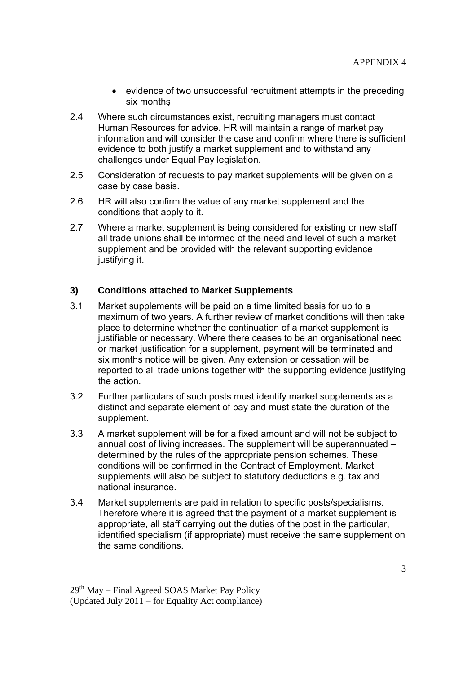- evidence of two unsuccessful recruitment attempts in the preceding six months
- 2.4 Where such circumstances exist, recruiting managers must contact Human Resources for advice. HR will maintain a range of market pay information and will consider the case and confirm where there is sufficient evidence to both justify a market supplement and to withstand any challenges under Equal Pay legislation.
- 2.5 Consideration of requests to pay market supplements will be given on a case by case basis.
- 2.6 HR will also confirm the value of any market supplement and the conditions that apply to it.
- 2.7 Where a market supplement is being considered for existing or new staff all trade unions shall be informed of the need and level of such a market supplement and be provided with the relevant supporting evidence justifying it.

# **3) Conditions attached to Market Supplements**

- 3.1 Market supplements will be paid on a time limited basis for up to a maximum of two years. A further review of market conditions will then take place to determine whether the continuation of a market supplement is justifiable or necessary. Where there ceases to be an organisational need or market justification for a supplement, payment will be terminated and six months notice will be given. Any extension or cessation will be reported to all trade unions together with the supporting evidence justifying the action.
- 3.2 Further particulars of such posts must identify market supplements as a distinct and separate element of pay and must state the duration of the supplement.
- 3.3 A market supplement will be for a fixed amount and will not be subject to annual cost of living increases. The supplement will be superannuated – determined by the rules of the appropriate pension schemes. These conditions will be confirmed in the Contract of Employment. Market supplements will also be subject to statutory deductions e.g. tax and national insurance.
- 3.4 Market supplements are paid in relation to specific posts/specialisms. Therefore where it is agreed that the payment of a market supplement is appropriate, all staff carrying out the duties of the post in the particular, identified specialism (if appropriate) must receive the same supplement on the same conditions.